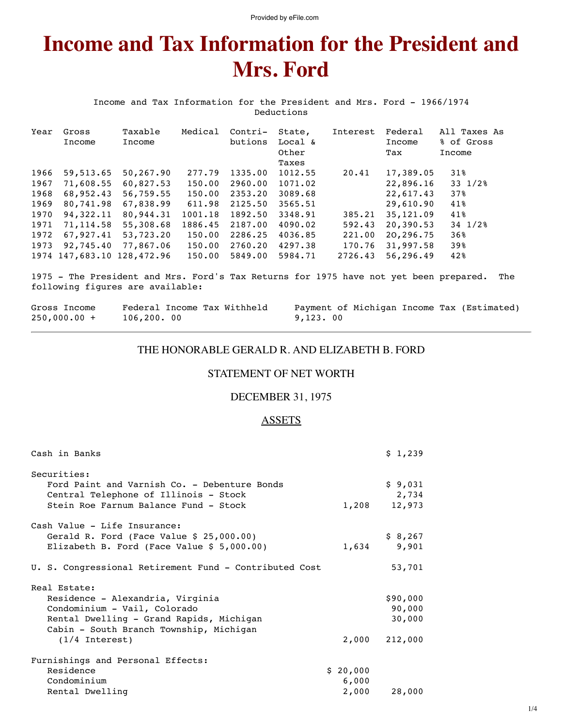# **Income and Tax Information for the President and** Mrs. Ford

Income and Tax Information for the President and Mrs. Ford - 1966/1974 Deductions

| Year | Gross     | Taxable                    | Medical | Contri- | State,  | Interest | Federal    | All Taxes As      |
|------|-----------|----------------------------|---------|---------|---------|----------|------------|-------------------|
|      | Income    | Income                     |         | butions | Local & |          | Income     | % of Gross        |
|      |           |                            |         |         | Other   |          | Tax        | Income            |
|      |           |                            |         |         | Taxes   |          |            |                   |
| 1966 | 59,513.65 | 50,267.90                  | 277.79  | 1335.00 | 1012.55 | 20.41    | 17,389.05  | 31%               |
| 1967 | 71,608.55 | 60,827.53                  | 150.00  | 2960.00 | 1071.02 |          | 22,896.16  | $33 \frac{1}{28}$ |
| 1968 | 68,952.43 | 56,759.55                  | 150.00  | 2353.20 | 3089.68 |          | 22,617.43  | 37%               |
| 1969 | 80,741.98 | 67,838.99                  | 611.98  | 2125.50 | 3565.51 |          | 29,610.90  | 41%               |
| 1970 | 94,322.11 | 80,944.31                  | 1001.18 | 1892.50 | 3348.91 | 385.21   | 35, 121.09 | 41%               |
| 1971 | 71,114.58 | 55,308.68                  | 1886.45 | 2187.00 | 4090.02 | 592.43   | 20,390.53  | $34 \frac{1}{28}$ |
| 1972 | 67,927.41 | 53,723.20                  | 150.00  | 2286.25 | 4036.85 | 221.00   | 20,296.75  | 368               |
| 1973 | 92,745.40 | 77,867.06                  | 150.00  | 2760.20 | 4297.38 | 170.76   | 31,997.58  | 39%               |
|      |           | 1974 147,683.10 128,472.96 | 150.00  | 5849.00 | 5984.71 | 2726.43  | 56,296.49  | 42%               |

1975 - The President and Mrs. Ford's Tax Returns for 1975 have not yet been prepared. The following figures are available:

| Gross Income   | Federal Income Tax Withheld | Payment of Michigan Income Tax (Estimated) |
|----------------|-----------------------------|--------------------------------------------|
| $250,000.00 +$ | 106, 200.00                 | 9,123.00                                   |

### THE HONORABLE GERALD R. AND ELIZABETH B. FORD

## STATEMENT OF NET WORTH

#### **DECEMBER 31, 1975**

#### **ASSETS**

| Cash in Banks                                          |          | \$1,239  |
|--------------------------------------------------------|----------|----------|
| Securities:                                            |          |          |
| Ford Paint and Varnish Co. - Debenture Bonds           |          | \$9,031  |
| Central Telephone of Illinois - Stock                  |          | 2,734    |
| Stein Roe Farnum Balance Fund - Stock                  | 1,208    | 12,973   |
| Cash Value - Life Insurance:                           |          |          |
| Gerald R. Ford (Face Value $$25,000.00$ )              |          | \$8,267  |
| Elizabeth B. Ford (Face Value $$5,000.00$ )            | 1,634    | 9,901    |
| U. S. Congressional Retirement Fund - Contributed Cost |          | 53,701   |
| Real Estate:                                           |          |          |
| Residence - Alexandria, Virginia                       |          | \$90,000 |
| Condominium - Vail, Colorado                           |          | 90,000   |
| Rental Dwelling - Grand Rapids, Michigan               |          | 30,000   |
| Cabin - South Branch Township, Michigan                |          |          |
| $(1/4$ Interest)                                       | 2,000    | 212,000  |
| Furnishings and Personal Effects:                      |          |          |
| Residence                                              | \$20,000 |          |
| Condominium                                            | 6,000    |          |
| Rental Dwelling                                        | 2,000    | 28,000   |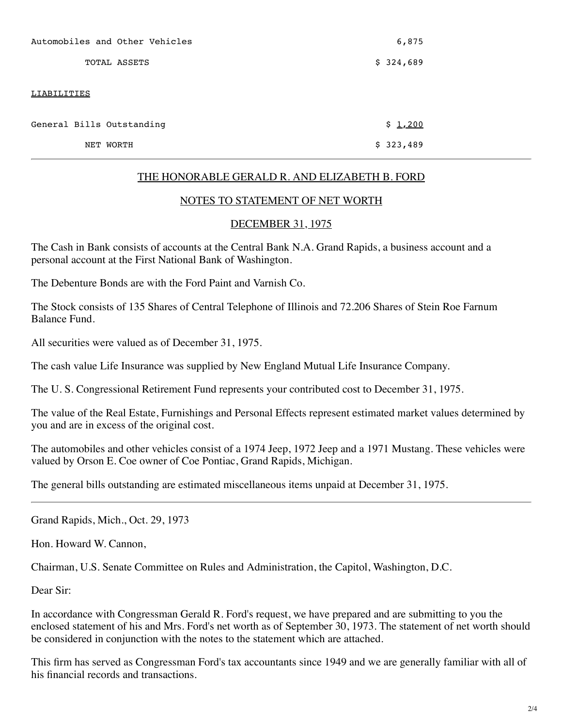| Automobiles and Other Vehicles |              | 6,875     |
|--------------------------------|--------------|-----------|
|                                | TOTAL ASSETS | \$324,689 |
| LIABILITIES                    |              |           |
| General Bills Outstanding      |              | \$1,200   |
| NET WORTH                      |              | \$323,489 |

# THE HONORABLE GERALD R. AND ELIZABETH B. FORD

# NOTES TO STATEMENT OF NET WORTH

# DECEMBER 31, 1975

The Cash in Bank consists of accounts at the Central Bank N.A. Grand Rapids, a business account and a personal account at the First National Bank of Washington.

The Debenture Bonds are with the Ford Paint and Varnish Co.

The Stock consists of 135 Shares of Central Telephone of Illinois and 72.206 Shares of Stein Roe Farnum Balance Fund.

All securities were valued as of December 31, 1975.

The cash value Life Insurance was supplied by New England Mutual Life Insurance Company.

The U. S. Congressional Retirement Fund represents your contributed cost to December 31, 1975.

The value of the Real Estate, Furnishings and Personal Effects represent estimated market values determined by you and are in excess of the original cost.

The automobiles and other vehicles consist of a 1974 Jeep, 1972 Jeep and a 1971 Mustang. These vehicles were valued by Orson E. Coe owner of Coe Pontiac, Grand Rapids, Michigan.

The general bills outstanding are estimated miscellaneous items unpaid at December 31, 1975.

Grand Rapids, Mich., Oct. 29, 1973

Hon. Howard W. Cannon,

Chairman, U.S. Senate Committee on Rules and Administration, the Capitol, Washington, D.C.

Dear Sir:

In accordance with Congressman Gerald R. Ford's request, we have prepared and are submitting to you the enclosed statement of his and Mrs. Ford's net worth as of September 30, 1973. The statement of net worth should be considered in conjunction with the notes to the statement which are attached.

This firm has served as Congressman Ford's tax accountants since 1949 and we are generally familiar with all of his financial records and transactions.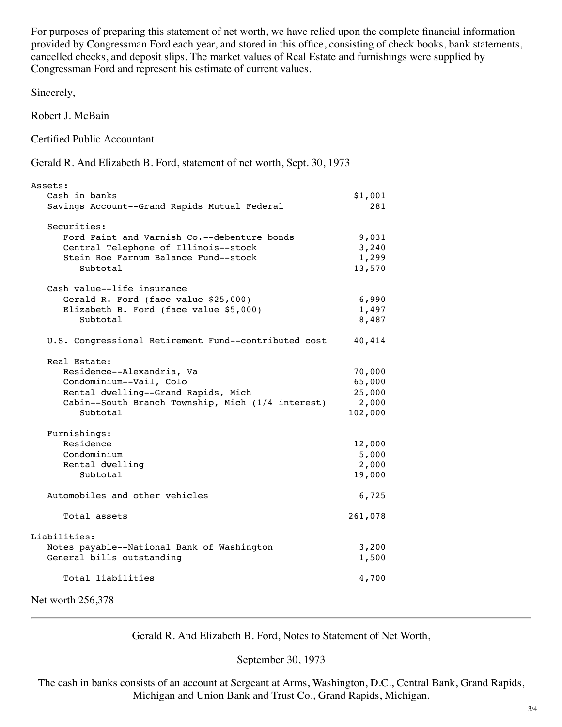For purposes of preparing this statement of net worth, we have relied upon the complete financial information provided by Congressman Ford each year, and stored in this office, consisting of check books, bank statements, cancelled checks, and deposit slips. The market values of Real Estate and furnishings were supplied by Congressman Ford and represent his estimate of current values.

Sincerely,

Robert J. McBain

Certified Public Accountant

Gerald R. And Elizabeth B. Ford, statement of net worth, Sept. 30, 1973

| Assets:                                              |         |
|------------------------------------------------------|---------|
| Cash in banks                                        | \$1,001 |
| Savings Account--Grand Rapids Mutual Federal         | 281     |
| Securities:                                          |         |
| Ford Paint and Varnish Co.--debenture bonds          | 9,031   |
| Central Telephone of Illinois--stock                 | 3,240   |
| Stein Roe Farnum Balance Fund--stock                 | 1,299   |
| Subtotal                                             | 13,570  |
| Cash value--life insurance                           |         |
| Gerald R. Ford (face value \$25,000)                 | 6,990   |
| Elizabeth B. Ford (face value \$5,000)               | 1,497   |
| Subtotal                                             | 8,487   |
| U.S. Congressional Retirement Fund--contributed cost | 40,414  |
| Real Estate:                                         |         |
| Residence--Alexandria, Va                            | 70,000  |
| Condominium--Vail, Colo                              | 65,000  |
| Rental dwelling--Grand Rapids, Mich                  | 25,000  |
| Cabin--South Branch Township, Mich (1/4 interest)    | 2,000   |
| Subtotal                                             | 102,000 |
| Furnishings:                                         |         |
| Residence                                            | 12,000  |
| Condominium                                          | 5,000   |
| Rental dwelling                                      | 2,000   |
| Subtotal                                             | 19,000  |
| Automobiles and other vehicles                       | 6,725   |
| Total assets                                         | 261,078 |
| Liabilities:                                         |         |
| Notes payable--National Bank of Washington           | 3,200   |
| General bills outstanding                            | 1,500   |
|                                                      |         |
| Total liabilities                                    | 4,700   |

Net worth 256,378

Gerald R. And Elizabeth B. Ford, Notes to Statement of Net Worth,

September 30, 1973

The cash in banks consists of an account at Sergeant at Arms, Washington, D.C., Central Bank, Grand Rapids, Michigan and Union Bank and Trust Co., Grand Rapids, Michigan.